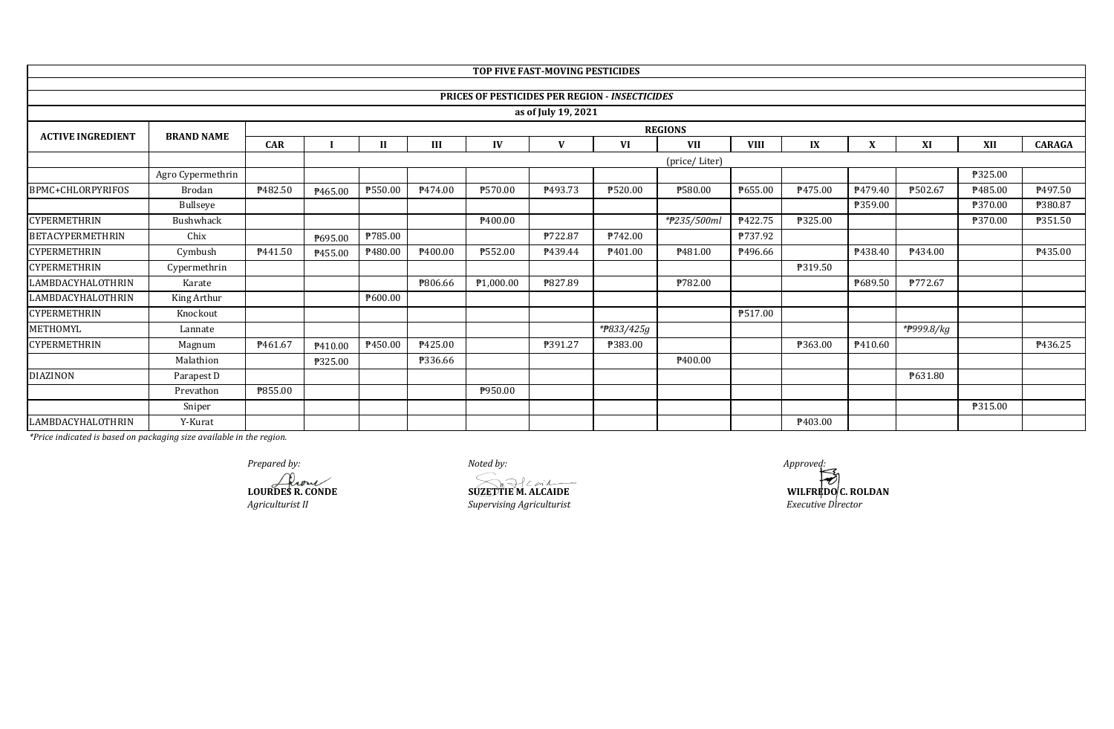|                          |                   |            |               |              |                |                | TOP FIVE FAST-MOVING PESTICIDES |                                                       |                |             |         |         |            |         |               |
|--------------------------|-------------------|------------|---------------|--------------|----------------|----------------|---------------------------------|-------------------------------------------------------|----------------|-------------|---------|---------|------------|---------|---------------|
|                          |                   |            |               |              |                |                |                                 |                                                       |                |             |         |         |            |         |               |
|                          |                   |            |               |              |                |                |                                 | <b>PRICES OF PESTICIDES PER REGION - INSECTICIDES</b> |                |             |         |         |            |         |               |
|                          |                   |            |               |              |                |                | as of July 19, 2021             |                                                       |                |             |         |         |            |         |               |
| <b>ACTIVE INGREDIENT</b> | <b>BRAND NAME</b> |            |               |              |                |                |                                 |                                                       | <b>REGIONS</b> |             |         |         |            |         |               |
|                          |                   | <b>CAR</b> |               | $\mathbf{I}$ | Ш              | IV             | v                               | VI                                                    | <b>VII</b>     | <b>VIII</b> | IX      | X       | XI         | XII     | <b>CARAGA</b> |
|                          |                   |            | (price/Liter) |              |                |                |                                 |                                                       |                |             |         |         |            |         |               |
|                          | Agro Cypermethrin |            |               |              |                |                |                                 |                                                       |                |             |         |         |            | ₱325.00 |               |
| BPMC+CHLORPYRIFOS        | Brodan            | P482.50    | P465.00       | ₱550.00      | P474.00        | ₱570.00        | P493.73                         | ₱520.00                                               | ₱580.00        | P655.00     | P475.00 | P479.40 | ₱502.67    | P485.00 | ₱497.50       |
|                          | Bullseye          |            |               |              |                |                |                                 |                                                       |                |             |         | ₱359.00 |            | ₱370.00 | ₱380.87       |
| <b>CYPERMETHRIN</b>      | Bushwhack         |            |               |              |                | P400.00        |                                 |                                                       | *#235/500ml    | P422.75     | ₱325.00 |         |            | ₱370.00 | ₱351.50       |
| <b>BETACYPERMETHRIN</b>  | Chix              |            | ₱695.00       | ₱785.00      |                |                | ₱722.87                         | P742.00                                               |                | ₱737.92     |         |         |            |         |               |
| <b>CYPERMETHRIN</b>      | Cymbush           | P441.50    | P455.00       | ₱480.00      | ₱400.00        | <b>P552.00</b> | P439.44                         | P401.00                                               | P481.00        | P496.66     |         | P438.40 | P434.00    |         | P435.00       |
| CYPERMETHRIN             | Cypermethrin      |            |               |              |                |                |                                 |                                                       |                |             | ₱319.50 |         |            |         |               |
| LAMBDACYHALOTHRIN        | Karate            |            |               |              | <b>P806.66</b> | ₱1,000.00      | ₱827.89                         |                                                       | ₱782.00        |             |         | P689.50 | P772.67    |         |               |
| <b>LAMBDACYHALOTHRIN</b> | King Arthur       |            |               | P600.00      |                |                |                                 |                                                       |                |             |         |         |            |         |               |
| CYPERMETHRIN             | Knockout          |            |               |              |                |                |                                 |                                                       |                | P517.00     |         |         |            |         |               |
| METHOMYL                 | Lannate           |            |               |              |                |                |                                 | *#833/425g                                            |                |             |         |         | *#999.8/kg |         |               |
| CYPERMETHRIN             | Magnum            | P461.67    | ₱410.00       | P450.00      | ₱425.00        |                | ₱391.27                         | ₱383.00                                               |                |             | ₱363.00 | P410.60 |            |         | P436.25       |
|                          | Malathion         |            | ₱325.00       |              | P336.66        |                |                                 |                                                       | ₱400.00        |             |         |         |            |         |               |
| <b>DIAZINON</b>          | Parapest D        |            |               |              |                |                |                                 |                                                       |                |             |         |         | P631.80    |         |               |
|                          | Prevathon         | ₱855.00    |               |              |                | P950.00        |                                 |                                                       |                |             |         |         |            |         |               |
|                          | Sniper            |            |               |              |                |                |                                 |                                                       |                |             |         |         |            | ₱315.00 |               |
| LAMBDACYHALOTHRIN        | Y-Kurat           |            |               |              |                |                |                                 |                                                       |                |             | ₱403.00 |         |            |         |               |

*Agriculturist II Supervising Agriculturist Prepared by:*<br> *Approved:*<br> **Approved:**<br> **COURDES R. CONDE**<br> **SUZETTIE M. ALCAIDE SUZETTIE M. ALCAIDE** 

**WILFREDO C. ROLDAN** *Executive Director*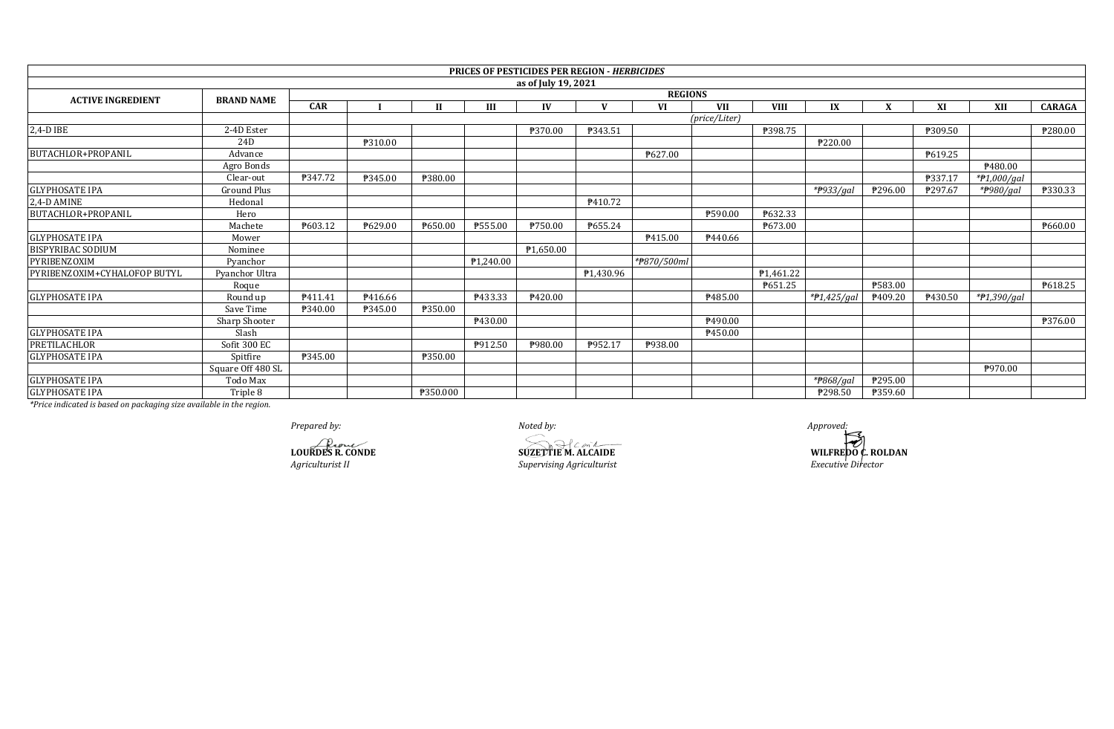|                              |                    |                |         |          |           | <b>PRICES OF PESTICIDES PER REGION - HERBICIDES</b> |           |             |               |             |                        |         |         |                        |               |  |
|------------------------------|--------------------|----------------|---------|----------|-----------|-----------------------------------------------------|-----------|-------------|---------------|-------------|------------------------|---------|---------|------------------------|---------------|--|
|                              |                    |                |         |          |           | as of July 19, 2021                                 |           |             |               |             |                        |         |         |                        |               |  |
| <b>ACTIVE INGREDIENT</b>     | <b>BRAND NAME</b>  | <b>REGIONS</b> |         |          |           |                                                     |           |             |               |             |                        |         |         |                        |               |  |
|                              |                    | <b>CAR</b>     |         | Н        |           | IV                                                  |           | VI          | <b>VII</b>    | <b>VIII</b> | IX                     |         | XI      | XII                    | <b>CARAGA</b> |  |
|                              |                    |                |         |          |           |                                                     |           |             | (price/Liter) |             |                        |         |         |                        |               |  |
| 2,4-D IBE                    | 2-4D Ester         |                |         |          |           | ₱370.00                                             | P343.51   |             |               | ₱398.75     |                        |         | ₱309.50 |                        | ₱280.00       |  |
|                              | 24D                |                | ₱310.00 |          |           |                                                     |           |             |               |             | ₱220.00                |         |         |                        |               |  |
| BUTACHLOR+PROPANIL           | Advance            |                |         |          |           |                                                     |           | ₹627.00     |               |             |                        |         | P619.25 |                        |               |  |
|                              | Agro Bonds         |                |         |          |           |                                                     |           |             |               |             |                        |         |         | P480.00                |               |  |
|                              | Clear-out          | P347.72        | ₱345.00 | ₱380.00  |           |                                                     |           |             |               |             |                        |         | ₱337.17 | *#1,000/gal            |               |  |
| <b>GLYPHOSATE IPA</b>        | <b>Ground Plus</b> |                |         |          |           |                                                     |           |             |               |             | * <del>P</del> 933/gal | ₱296.00 | ₱297.67 | * <del>P</del> 980/gal | P330.33       |  |
| 2,4-D AMINE                  | Hedonal            |                |         |          |           |                                                     | P410.72   |             |               |             |                        |         |         |                        |               |  |
| BUTACHLOR+PROPANIL           | Hero               |                |         |          |           |                                                     |           |             | ₱590.00       | ₱632.33     |                        |         |         |                        |               |  |
|                              | Machete            | P603.12        | P629.00 | P650.00  | P555.00   | ₱750.00                                             | P655.24   |             |               | P673.00     |                        |         |         |                        | P660.00       |  |
| <b>GLYPHOSATE IPA</b>        | Mower              |                |         |          |           |                                                     |           | P415.00     | P440.66       |             |                        |         |         |                        |               |  |
| <b>BISPYRIBAC SODIUM</b>     | Nominee            |                |         |          |           | P1,650.00                                           |           |             |               |             |                        |         |         |                        |               |  |
| PYRIBENZOXIM                 | Pvanchor           |                |         |          | P1,240.00 |                                                     |           | *#870/500ml |               |             |                        |         |         |                        |               |  |
| PYRIBENZOXIM+CYHALOFOP BUTYL | Pyanchor Ultra     |                |         |          |           |                                                     | P1,430.96 |             |               | P1,461.22   |                        |         |         |                        |               |  |
|                              | Roque              |                |         |          |           |                                                     |           |             |               | P651.25     |                        | ₱583.00 |         |                        | P618.25       |  |
| <b>GLYPHOSATE IPA</b>        | Round up           | P411.41        | P416.66 |          | P433.33   | P420.00                                             |           |             | P485.00       |             | $*P1,425/gal$          | P409.20 | P430.50 | *#1,390/gal            |               |  |
|                              | Save Time          | ₱340.00        | P345.00 | ₱350.00  |           |                                                     |           |             |               |             |                        |         |         |                        |               |  |
|                              | Sharp Shooter      |                |         |          | P430.00   |                                                     |           |             | ₹490.00       |             |                        |         |         |                        | ₱376.00       |  |
| <b>GLYPHOSATE IPA</b>        | Slash              |                |         |          |           |                                                     |           |             | P450.00       |             |                        |         |         |                        |               |  |
| PRETILACHLOR                 | Sofit 300 EC       |                |         |          | P912.50   | ₱980.00                                             | P952.17   | P938.00     |               |             |                        |         |         |                        |               |  |
| <b>GLYPHOSATE IPA</b>        | Spitfire           | ₱345.00        |         | ₱350.00  |           |                                                     |           |             |               |             |                        |         |         |                        |               |  |
|                              | Square Off 480 SL  |                |         |          |           |                                                     |           |             |               |             |                        |         |         | P970.00                |               |  |
| <b>GLYPHOSATE IPA</b>        | Todo Max           |                |         |          |           |                                                     |           |             |               |             | * <del>P</del> 868/gal | P295.00 |         |                        |               |  |
| <b>GLYPHOSATE IPA</b>        | Triple 8           |                |         | ₱350.000 |           |                                                     |           |             |               |             | ₱298.50                | ₱359.60 |         |                        |               |  |

*Agriculturist II Supervising Agriculturist Prepared by: Noted by: Approved:* **LOURDES R. CONDE SUZETTIE M. ALCAIDE** 

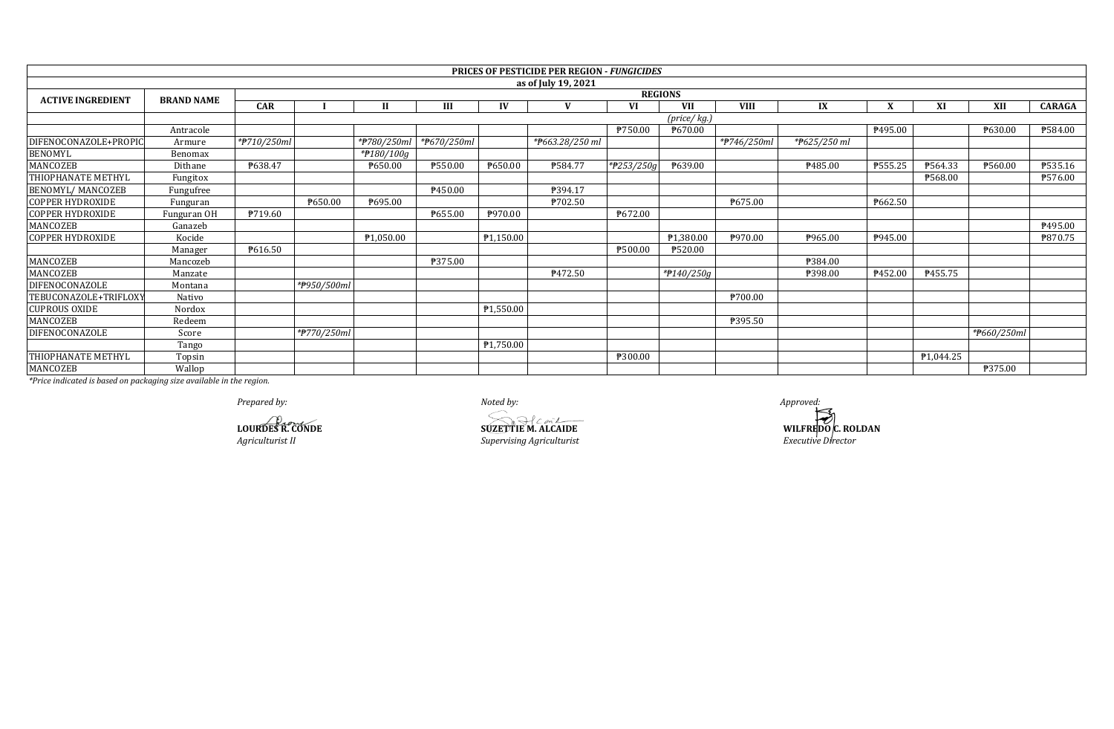|                                                                                                                                                                                                                                                                                                           |                                                                                                   |             |                |              |                          |           | <b>PRICES OF PESTICIDE PER REGION - FUNGICIDES</b> |               |              |             |                  |              |                        |             |               |  |
|-----------------------------------------------------------------------------------------------------------------------------------------------------------------------------------------------------------------------------------------------------------------------------------------------------------|---------------------------------------------------------------------------------------------------|-------------|----------------|--------------|--------------------------|-----------|----------------------------------------------------|---------------|--------------|-------------|------------------|--------------|------------------------|-------------|---------------|--|
|                                                                                                                                                                                                                                                                                                           |                                                                                                   |             |                |              |                          |           | as of July 19, 2021                                |               |              |             |                  |              |                        |             |               |  |
| <b>ACTIVE INGREDIENT</b>                                                                                                                                                                                                                                                                                  | <b>BRAND NAME</b>                                                                                 |             | <b>REGIONS</b> |              |                          |           |                                                    |               |              |             |                  |              |                        |             |               |  |
|                                                                                                                                                                                                                                                                                                           |                                                                                                   | <b>CAR</b>  |                | $\mathbf{H}$ |                          | $\bf{IV}$ |                                                    | VI            | <b>VII</b>   | <b>VIII</b> | IX               | $\mathbf{v}$ | XI                     | XII         | <b>CARAGA</b> |  |
|                                                                                                                                                                                                                                                                                                           |                                                                                                   |             |                |              |                          |           |                                                    |               | (price/ kg.) |             |                  |              |                        |             |               |  |
|                                                                                                                                                                                                                                                                                                           | Antracole                                                                                         |             |                |              |                          |           |                                                    | P750.00       | P670.00      |             |                  | ₱495.00      |                        | P630.00     | P584.00       |  |
| DIFENOCONAZOLE+PROPIC                                                                                                                                                                                                                                                                                     | Armure                                                                                            | *#710/250ml |                | *#780/250ml  | * <del>P</del> 670/250ml |           | *#663.28/250 ml                                    |               |              | *#746/250ml | *P625/250 ml     |              |                        |             |               |  |
| <b>BENOMYL</b>                                                                                                                                                                                                                                                                                            | Benomax                                                                                           |             |                | *#180/100g   |                          |           |                                                    |               |              |             |                  |              |                        |             |               |  |
| MANCOZEB                                                                                                                                                                                                                                                                                                  | Dithane                                                                                           | P638.47     |                | P650.00      | ₱550.00                  | ₱650.00   | ₱584.77                                            | * $P253/250q$ | P639.00      |             | P485.00          | P555.25      | P564.33                | ₱560.00     | P535.16       |  |
| <b>THIOPHANATE METHYL</b>                                                                                                                                                                                                                                                                                 | Fungitox                                                                                          |             |                |              |                          |           |                                                    |               |              |             |                  |              | ₱568.00                |             | P576.00       |  |
| <b>BENOMYL/ MANCOZEB</b>                                                                                                                                                                                                                                                                                  | Fungufree                                                                                         |             |                |              | P450.00                  |           | P394.17                                            |               |              |             |                  |              |                        |             |               |  |
| <b>COPPER HYDROXIDE</b>                                                                                                                                                                                                                                                                                   | Funguran                                                                                          |             | P650.00        | P695.00      |                          |           | P702.50                                            |               |              | P675.00     |                  | P662.50      |                        |             |               |  |
| <b>COPPER HYDROXIDE</b>                                                                                                                                                                                                                                                                                   | Funguran OH                                                                                       | P719.60     |                |              | P655.00                  | ₱970.00   |                                                    | ₱672.00       |              |             |                  |              |                        |             |               |  |
| MANCOZEB                                                                                                                                                                                                                                                                                                  | Ganazeb                                                                                           |             |                |              |                          |           |                                                    |               |              |             |                  |              |                        |             | P495.00       |  |
| <b>COPPER HYDROXIDE</b>                                                                                                                                                                                                                                                                                   | Kocide                                                                                            |             |                | P1,050.00    |                          | P1,150.00 |                                                    |               | P1,380.00    | P970.00     | P965.00          | P945.00      |                        |             | P870.75       |  |
|                                                                                                                                                                                                                                                                                                           | Manager                                                                                           | P616.50     |                |              |                          |           |                                                    | ₱500.00       | ₱520.00      |             |                  |              |                        |             |               |  |
| MANCOZEB                                                                                                                                                                                                                                                                                                  | Mancozeb                                                                                          |             |                |              | <b>P375.00</b>           |           |                                                    |               |              |             | <b>\\$384.00</b> |              |                        |             |               |  |
| MANCOZEB                                                                                                                                                                                                                                                                                                  | Manzate                                                                                           |             |                |              |                          |           | P472.50                                            |               | *#140/250g   |             | ₱398.00          | P452.00      | P455.75                |             |               |  |
| <b>DIFENOCONAZOLE</b>                                                                                                                                                                                                                                                                                     | Montana                                                                                           |             | *#950/500ml    |              |                          |           |                                                    |               |              |             |                  |              |                        |             |               |  |
| TEBUCONAZOLE+TRIFLOXY                                                                                                                                                                                                                                                                                     | Nativo                                                                                            |             |                |              |                          |           |                                                    |               |              | ₱700.00     |                  |              |                        |             |               |  |
| <b>CUPROUS OXIDE</b>                                                                                                                                                                                                                                                                                      | Nordox                                                                                            |             |                |              |                          | P1,550.00 |                                                    |               |              |             |                  |              |                        |             |               |  |
| MANCOZEB                                                                                                                                                                                                                                                                                                  | Redeem                                                                                            |             |                |              |                          |           |                                                    |               |              | ₱395.50     |                  |              |                        |             |               |  |
| DIFENOCONAZOLE                                                                                                                                                                                                                                                                                            | Score                                                                                             |             | *#770/250ml    |              |                          |           |                                                    |               |              |             |                  |              |                        | *#660/250ml |               |  |
|                                                                                                                                                                                                                                                                                                           | Tango                                                                                             |             |                |              |                          | ₱1,750.00 |                                                    |               |              |             |                  |              |                        |             |               |  |
| THIOPHANATE METHYL                                                                                                                                                                                                                                                                                        | Topsin                                                                                            |             |                |              |                          |           |                                                    | P300.00       |              |             |                  |              | P <sub>1</sub> ,044.25 |             |               |  |
| MANCOZEB<br>$\frac{1}{2}$ and $\frac{1}{2}$ and $\frac{1}{2}$ and $\frac{1}{2}$ and $\frac{1}{2}$ and $\frac{1}{2}$ and $\frac{1}{2}$ and $\frac{1}{2}$ and $\frac{1}{2}$ and $\frac{1}{2}$ and $\frac{1}{2}$ and $\frac{1}{2}$ and $\frac{1}{2}$ and $\frac{1}{2}$ and $\frac{1}{2}$ and $\frac{1}{2}$ a | Wallop<br>$\mathbf{a}$ , $\mathbf{a}$ , $\mathbf{a}$ , $\mathbf{a}$ , $\mathbf{a}$ , $\mathbf{a}$ |             |                |              |                          |           |                                                    |               |              |             |                  |              |                        | ₱375.00     |               |  |

**Agriculturist II CONDE**<br>*Agriculturist II SUZETTIE* **M. ALCAIDE**<br>*Supervising Agriculturist* **LOURDES R. CONDE SUZETTIE M. ALCAIDE**

**WILFREDO C. ROLDAN**<br>Executive Director *Prepared by: Noted by: Approved:*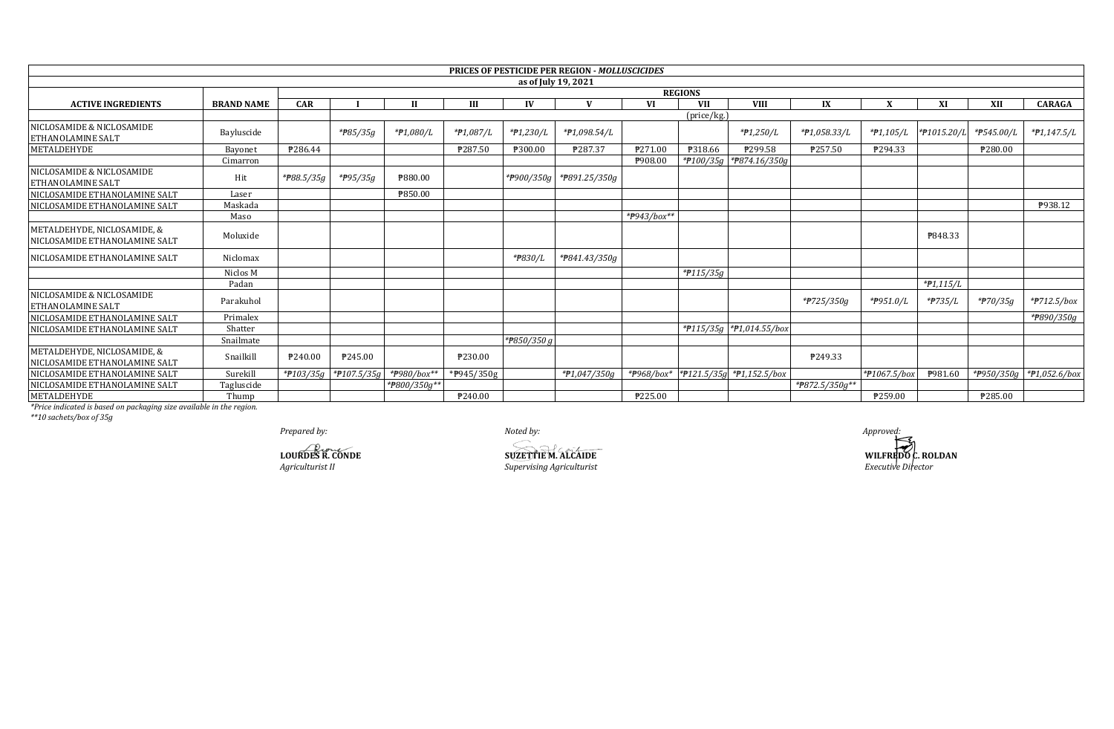|                                                              |                   |                |                       |              |               |               | <b>PRICES OF PESTICIDE PER REGION - MOLLUSCICIDES</b> |             |              |                                 |                |              |             |            |                          |
|--------------------------------------------------------------|-------------------|----------------|-----------------------|--------------|---------------|---------------|-------------------------------------------------------|-------------|--------------|---------------------------------|----------------|--------------|-------------|------------|--------------------------|
|                                                              |                   |                |                       |              |               |               | as of July 19, 2021                                   |             |              |                                 |                |              |             |            |                          |
|                                                              |                   | <b>REGIONS</b> |                       |              |               |               |                                                       |             |              |                                 |                |              |             |            |                          |
| <b>ACTIVE INGREDIENTS</b>                                    | <b>BRAND NAME</b> | <b>CAR</b>     |                       |              | Н             |               |                                                       | VI          | VII          | <b>VIII</b>                     | IX             |              | XI          | XII        | <b>CARAGA</b>            |
|                                                              |                   |                |                       |              |               |               |                                                       |             | (price/kg.)  |                                 |                |              |             |            |                          |
| NICLOSAMIDE & NICLOSAMIDE<br><b>ETHANOLAMINE SALT</b>        | Bayluscide        |                | *#85/35g              | *#1,080/L    | *#1,087/L     | $*P1,230/L$   | *#1,098.54/L                                          |             |              | $*P1,250/L$                     | *#1,058.33/L   | *#1,105/L    | *#1015.20/L | *P545.00/L | $*P1,147.5/L$            |
| METALDEHYDE                                                  | Bayonet           | P286.44        |                       |              | ₱287.50       | ₱300.00       | P287.37                                               | ₱271.00     | ₱318.66      | ₱299.58                         | ₱257.50        | P294.33      |             | ₱280.00    |                          |
|                                                              | Cimarron          |                |                       |              |               |               |                                                       | ₱908.00     |              | *P100/35g *P874.16/350g         |                |              |             |            |                          |
| NICLOSAMIDE & NICLOSAMIDE<br><b>ETHANOLAMINE SALT</b>        | Hit               | $*P88.5/35q$   | *#95/35g              | P880.00      |               |               | *P900/350g *P891.25/350g                              |             |              |                                 |                |              |             |            |                          |
| NICLOSAMIDE ETHANOLAMINE SALT                                | Laser             |                |                       | ₱850.00      |               |               |                                                       |             |              |                                 |                |              |             |            |                          |
| NICLOSAMIDE ETHANOLAMINE SALT                                | Maskada           |                |                       |              |               |               |                                                       |             |              |                                 |                |              |             |            | P938.12                  |
|                                                              | Maso              |                |                       |              |               |               |                                                       | *#943/box** |              |                                 |                |              |             |            |                          |
| METALDEHYDE, NICLOSAMIDE, &<br>NICLOSAMIDE ETHANOLAMINE SALT | Moluxide          |                |                       |              |               |               |                                                       |             |              |                                 |                |              | ₱848.33     |            |                          |
| NICLOSAMIDE ETHANOLAMINE SALT                                | Niclomax          |                |                       |              |               | *#830/L       | *#841.43/350g                                         |             |              |                                 |                |              |             |            |                          |
|                                                              | Niclos M          |                |                       |              |               |               |                                                       |             | $*$ P115/35g |                                 |                |              |             |            |                          |
|                                                              | Padan             |                |                       |              |               |               |                                                       |             |              |                                 |                |              | $*P1,115/L$ |            |                          |
| NICLOSAMIDE & NICLOSAMIDE<br><b>ETHANOLAMINE SALT</b>        | Parakuhol         |                |                       |              |               |               |                                                       |             |              |                                 | *#725/350g     | *P951.0/L    | *#735/L     | *#70/35g   | $*$ $P712.5/box$         |
| NICLOSAMIDE ETHANOLAMINE SALT                                | Primalex          |                |                       |              |               |               |                                                       |             |              |                                 |                |              |             |            | * <del>P</del> 890/350g  |
| NICLOSAMIDE ETHANOLAMINE SALT                                | Shatter           |                |                       |              |               |               |                                                       |             |              | *#115/35g *#1,014.55/box        |                |              |             |            |                          |
|                                                              | Snailmate         |                |                       |              |               | * $P850/350g$ |                                                       |             |              |                                 |                |              |             |            |                          |
| METALDEHYDE, NICLOSAMIDE, &<br>NICLOSAMIDE ETHANOLAMINE SALT | Snailkill         | P240.00        | P245.00               |              | ₱230.00       |               |                                                       |             |              |                                 | P249.33        |              |             |            |                          |
| NICLOSAMIDE ETHANOLAMINE SALT                                | Surekill          |                | *#103/35g *#107.5/35g | *#980/box**  | * $P945/350g$ |               | $*P1,047/350g$                                        | *#968/box*  |              | * $f121.5/35g$ * $f1.152.5/box$ |                | *#1067.5/box | P981.60     |            | *P950/350g *P1,052.6/box |
| NICLOSAMIDE ETHANOLAMINE SALT                                | Tagluscide        |                |                       | *P800/350g** |               |               |                                                       |             |              |                                 | *#872.5/350g** |              |             |            |                          |
| METALDEHYDE                                                  | Thump             |                |                       |              | P240.00       |               |                                                       | ₱225.00     |              |                                 |                | P259.00      |             | ₱285.00    |                          |

\*Price indicated is based on packaging size available in the region.<br>\*\*10 sachets/box of 35g

Prepared by:

LOURDES R. CONDE Agriculturist II

Noted by:

**SUZETTIEM. ALCAIDE** Supervising Agriculturist

Approved:<br>
WILFREDO C. ROLDAN<br>
Executive Director